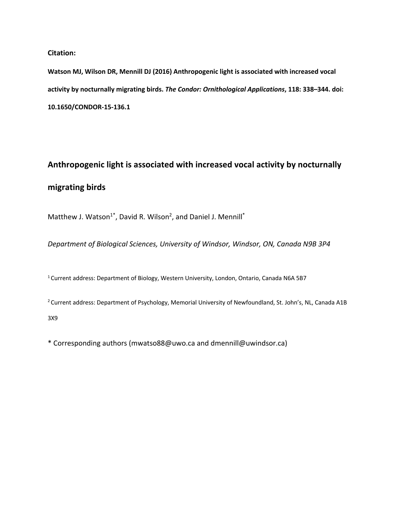#### **Citation:**

**Watson MJ, Wilson DR, Mennill DJ (2016) Anthropogenic light is associated with increased vocal activity by nocturnally migrating birds.** *The Condor: Ornithological Applications***, 118: 338–344. doi: 10.1650/CONDOR-15-136.1**

# **Anthropogenic light is associated with increased vocal activity by nocturnally migrating birds**

Matthew J. Watson<sup>1\*</sup>, David R. Wilson<sup>2</sup>, and Daniel J. Mennill<sup>\*</sup>

*Department of Biological Sciences, University of Windsor, Windsor, ON, Canada N9B 3P4*

<sup>1</sup> Current address: Department of Biology, Western University, London, Ontario, Canada N6A 5B7

<sup>2</sup> Current address: Department of Psychology, Memorial University of Newfoundland, St. John's, NL, Canada A1B 3X9

\* Corresponding authors (mwatso88@uwo.ca and dmennill@uwindsor.ca)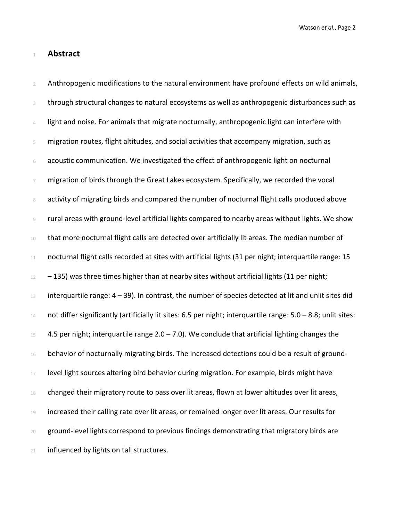#### <sup>1</sup> **Abstract**

2 Anthropogenic modifications to the natural environment have profound effects on wild animals, 3 through structural changes to natural ecosystems as well as anthropogenic disturbances such as 4 light and noise. For animals that migrate nocturnally, anthropogenic light can interfere with <sup>5</sup> migration routes, flight altitudes, and social activities that accompany migration, such as <sup>6</sup> acoustic communication. We investigated the effect of anthropogenic light on nocturnal  $7$  migration of birds through the Great Lakes ecosystem. Specifically, we recorded the vocal 8 activity of migrating birds and compared the number of nocturnal flight calls produced above <sup>9</sup> rural areas with ground-level artificial lights compared to nearby areas without lights. We show 10 that more nocturnal flight calls are detected over artificially lit areas. The median number of 11 nocturnal flight calls recorded at sites with artificial lights (31 per night; interquartile range: 15  $12 - 135$ ) was three times higher than at nearby sites without artificial lights (11 per night; 13 interquartile range:  $4 - 39$ ). In contrast, the number of species detected at lit and unlit sites did 14 not differ significantly (artificially lit sites: 6.5 per night; interquartile range:  $5.0 - 8.8$ ; unlit sites:  $15$  4.5 per night; interquartile range 2.0 – 7.0). We conclude that artificial lighting changes the  $16$  behavior of nocturnally migrating birds. The increased detections could be a result of ground-17 level light sources altering bird behavior during migration. For example, birds might have  $18$  changed their migratory route to pass over lit areas, flown at lower altitudes over lit areas, <sup>19</sup> increased their calling rate over lit areas, or remained longer over lit areas. Our results for 20 ground-level lights correspond to previous findings demonstrating that migratory birds are 21 influenced by lights on tall structures.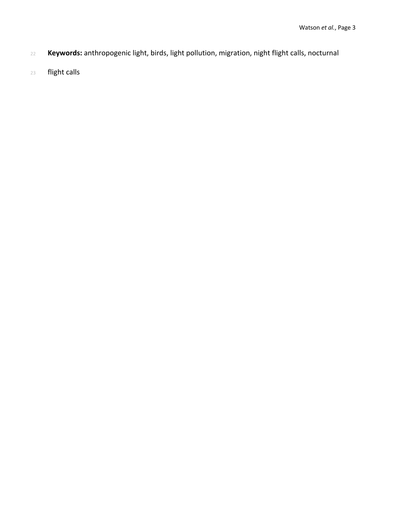- **Keywords:** anthropogenic light, birds, light pollution, migration, night flight calls, nocturnal
- flight calls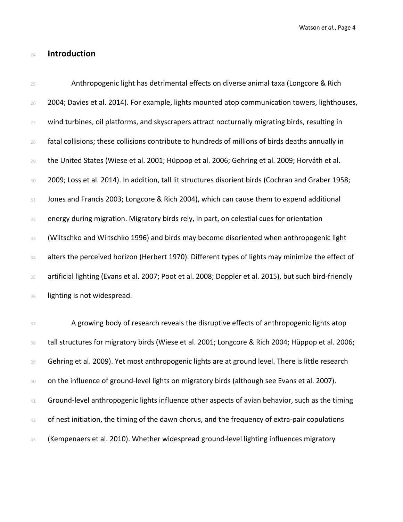# **Introduction**

| 25     | Anthropogenic light has detrimental effects on diverse animal taxa (Longcore & Rich                    |
|--------|--------------------------------------------------------------------------------------------------------|
| 26     | 2004; Davies et al. 2014). For example, lights mounted atop communication towers, lighthouses,         |
| 27     | wind turbines, oil platforms, and skyscrapers attract nocturnally migrating birds, resulting in        |
| 28     | fatal collisions; these collisions contribute to hundreds of millions of birds deaths annually in      |
| 29     | the United States (Wiese et al. 2001; Hüppop et al. 2006; Gehring et al. 2009; Horváth et al.          |
| 30     | 2009; Loss et al. 2014). In addition, tall lit structures disorient birds (Cochran and Graber 1958;    |
| $31\,$ | Jones and Francis 2003; Longcore & Rich 2004), which can cause them to expend additional               |
| 32     | energy during migration. Migratory birds rely, in part, on celestial cues for orientation              |
| 33     | (Wiltschko and Wiltschko 1996) and birds may become disoriented when anthropogenic light               |
| 34     | alters the perceived horizon (Herbert 1970). Different types of lights may minimize the effect of      |
| 35     | artificial lighting (Evans et al. 2007; Poot et al. 2008; Doppler et al. 2015), but such bird-friendly |
| 36     | lighting is not widespread.                                                                            |
| 37     | A growing body of research reveals the disruptive effects of anthropogenic lights atop                 |
| 38     | tall structures for migratory birds (Wiese et al. 2001; Longcore & Rich 2004; Hüppop et al. 2006;      |
| 39     | Gehring et al. 2009). Yet most anthropogenic lights are at ground level. There is little research      |
| 40     | on the influence of ground-level lights on migratory birds (although see Evans et al. 2007).           |
| 41     | Ground-level anthropogenic lights influence other aspects of avian behavior, such as the timing        |
| 42     | of nest initiation, the timing of the dawn chorus, and the frequency of extra-pair copulations         |

(Kempenaers et al. 2010). Whether widespread ground-level lighting influences migratory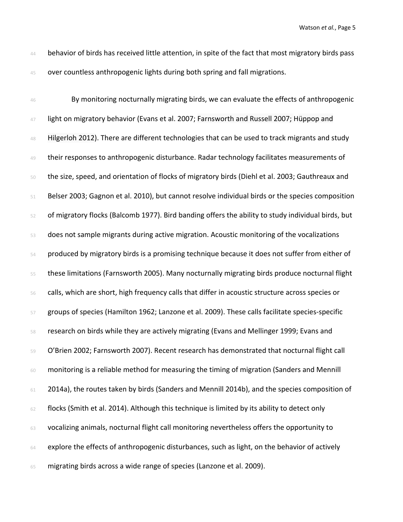44 behavior of birds has received little attention, in spite of the fact that most migratory birds pass 45 over countless anthropogenic lights during both spring and fall migrations.

46 By monitoring nocturnally migrating birds, we can evaluate the effects of anthropogenic 47 light on migratory behavior (Evans et al. 2007; Farnsworth and Russell 2007; Hüppop and 48 Hilgerloh 2012). There are different technologies that can be used to track migrants and study 49 their responses to anthropogenic disturbance. Radar technology facilitates measurements of the size, speed, and orientation of flocks of migratory birds (Diehl et al. 2003; Gauthreaux and Belser 2003; Gagnon et al. 2010), but cannot resolve individual birds or the species composition of migratory flocks (Balcomb 1977). Bird banding offers the ability to study individual birds, but does not sample migrants during active migration. Acoustic monitoring of the vocalizations produced by migratory birds is a promising technique because it does not suffer from either of these limitations (Farnsworth 2005). Many nocturnally migrating birds produce nocturnal flight calls, which are short, high frequency calls that differ in acoustic structure across species or groups of species (Hamilton 1962; Lanzone et al. 2009). These calls facilitate species-specific research on birds while they are actively migrating (Evans and Mellinger 1999; Evans and 59 O'Brien 2002; Farnsworth 2007). Recent research has demonstrated that nocturnal flight call monitoring is a reliable method for measuring the timing of migration (Sanders and Mennill 61 2014a), the routes taken by birds (Sanders and Mennill 2014b), and the species composition of flocks (Smith et al. 2014). Although this technique is limited by its ability to detect only 63 vocalizing animals, nocturnal flight call monitoring nevertheless offers the opportunity to explore the effects of anthropogenic disturbances, such as light, on the behavior of actively migrating birds across a wide range of species (Lanzone et al. 2009).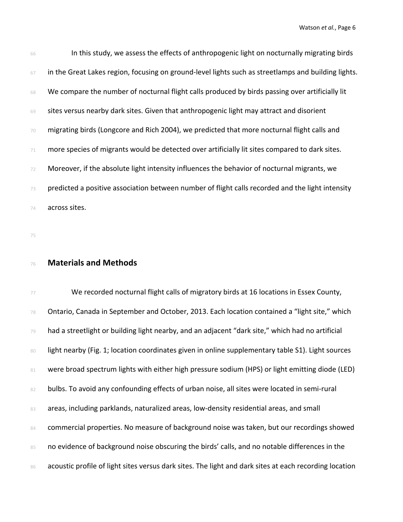| 66 | In this study, we assess the effects of anthropogenic light on nocturnally migrating birds          |
|----|-----------------------------------------------------------------------------------------------------|
| 67 | in the Great Lakes region, focusing on ground-level lights such as streetlamps and building lights. |
| 68 | We compare the number of nocturnal flight calls produced by birds passing over artificially lit     |
| 69 | sites versus nearby dark sites. Given that anthropogenic light may attract and disorient            |
| 70 | migrating birds (Longcore and Rich 2004), we predicted that more nocturnal flight calls and         |
| 71 | more species of migrants would be detected over artificially lit sites compared to dark sites.      |
| 72 | Moreover, if the absolute light intensity influences the behavior of nocturnal migrants, we         |
| 73 | predicted a positive association between number of flight calls recorded and the light intensity    |
| 74 | across sites.                                                                                       |

75

#### <sup>76</sup> **Materials and Methods**

77 We recorded nocturnal flight calls of migratory birds at 16 locations in Essex County,  $78$  Ontario, Canada in September and October, 2013. Each location contained a "light site," which <sup>79</sup> had a streetlight or building light nearby, and an adjacent "dark site," which had no artificial 80 light nearby (Fig. 1; location coordinates given in online supplementary table S1). Light sources 81 were broad spectrum lights with either high pressure sodium (HPS) or light emitting diode (LED) 82 bulbs. To avoid any confounding effects of urban noise, all sites were located in semi-rural 83 areas, including parklands, naturalized areas, low-density residential areas, and small 84 commercial properties. No measure of background noise was taken, but our recordings showed 85 no evidence of background noise obscuring the birds' calls, and no notable differences in the 86 acoustic profile of light sites versus dark sites. The light and dark sites at each recording location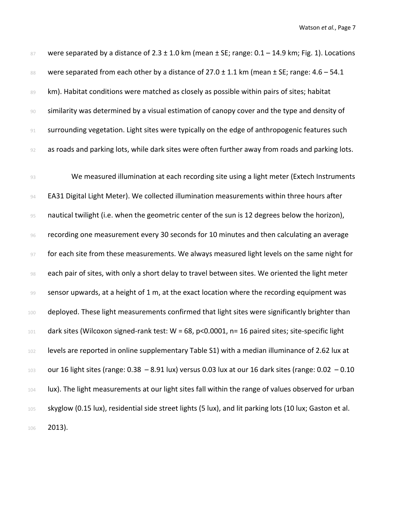| 87 | were separated by a distance of $2.3 \pm 1.0$ km (mean $\pm$ SE; range: $0.1 - 14.9$ km; Fig. 1). Locations |
|----|-------------------------------------------------------------------------------------------------------------|
| 88 | were separated from each other by a distance of $27.0 \pm 1.1$ km (mean $\pm$ SE; range: 4.6 – 54.1         |
| 89 | km). Habitat conditions were matched as closely as possible within pairs of sites; habitat                  |
| 90 | similarity was determined by a visual estimation of canopy cover and the type and density of                |
| 91 | surrounding vegetation. Light sites were typically on the edge of anthropogenic features such               |
| 92 | as roads and parking lots, while dark sites were often further away from roads and parking lots.            |
|    |                                                                                                             |
|    |                                                                                                             |
| 93 | We measured illumination at each recording site using a light meter (Extech Instruments                     |
| 94 | EA31 Digital Light Meter). We collected illumination measurements within three hours after                  |
| 95 | nautical twilight (i.e. when the geometric center of the sun is 12 degrees below the horizon),              |
| 96 | recording one measurement every 30 seconds for 10 minutes and then calculating an average                   |

98 each pair of sites, with only a short delay to travel between sites. We oriented the light meter 99 sensor upwards, at a height of 1 m, at the exact location where the recording equipment was 100 deployed. These light measurements confirmed that light sites were significantly brighter than <sup>101</sup> dark sites (Wilcoxon signed-rank test: W = 68, p<0.0001, n= 16 paired sites; site-specific light 102 levels are reported in online supplementary Table S1) with a median illuminance of 2.62 lux at 103 our 16 light sites (range:  $0.38 - 8.91$  lux) versus 0.03 lux at our 16 dark sites (range:  $0.02 - 0.10$ 104 lux). The light measurements at our light sites fall within the range of values observed for urban 105 skyglow (0.15 lux), residential side street lights (5 lux), and lit parking lots (10 lux; Gaston et al. <sup>106</sup> 2013).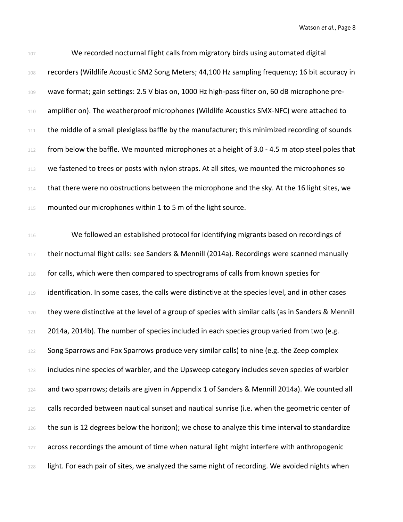| 107   | We recorded nocturnal flight calls from migratory birds using automated digital                      |
|-------|------------------------------------------------------------------------------------------------------|
| 108   | recorders (Wildlife Acoustic SM2 Song Meters; 44,100 Hz sampling frequency; 16 bit accuracy in       |
| 109   | wave format; gain settings: 2.5 V bias on, 1000 Hz high-pass filter on, 60 dB microphone pre-        |
| 110   | amplifier on). The weatherproof microphones (Wildlife Acoustics SMX-NFC) were attached to            |
| $111$ | the middle of a small plexiglass baffle by the manufacturer; this minimized recording of sounds      |
| 112   | from below the baffle. We mounted microphones at a height of 3.0 - 4.5 m atop steel poles that       |
| 113   | we fastened to trees or posts with nylon straps. At all sites, we mounted the microphones so         |
| 114   | that there were no obstructions between the microphone and the sky. At the 16 light sites, we        |
| 115   | mounted our microphones within 1 to 5 m of the light source.                                         |
|       |                                                                                                      |
| 116   | We followed an established protocol for identifying migrants based on recordings of                  |
| 117   | their nocturnal flight calls: see Sanders & Mennill (2014a). Recordings were scanned manually        |
| 118   | for calls, which were then compared to spectrograms of calls from known species for                  |
| 119   | identification. In some cases, the calls were distinctive at the species level, and in other cases   |
| 120   | they were distinctive at the level of a group of species with similar calls (as in Sanders & Mennill |
| 121   | 2014a, 2014b). The number of species included in each species group varied from two (e.g.            |
| 122   | Song Sparrows and Fox Sparrows produce very similar calls) to nine (e.g. the Zeep complex            |
| 123   | includes nine species of warbler, and the Upsweep category includes seven species of warbler         |
| 124   | and two sparrows; details are given in Appendix 1 of Sanders & Mennill 2014a). We counted all        |
| 125   | calls recorded between nautical sunset and nautical sunrise (i.e. when the geometric center of       |
| 126   | the sun is 12 degrees below the horizon); we chose to analyze this time interval to standardize      |
| 127   | across recordings the amount of time when natural light might interfere with anthropogenic           |
| 128   | light. For each pair of sites, we analyzed the same night of recording. We avoided nights when       |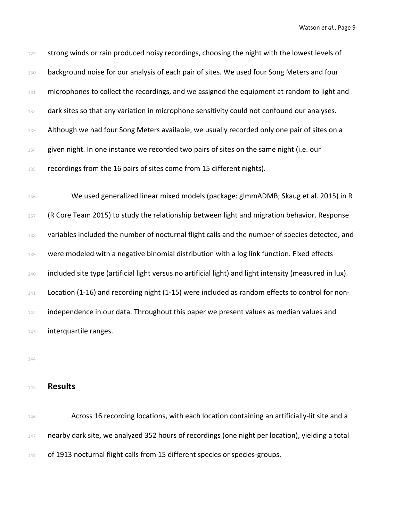| 129 | strong winds or rain produced noisy recordings, choosing the night with the lowest levels of            |
|-----|---------------------------------------------------------------------------------------------------------|
| 130 | background noise for our analysis of each pair of sites. We used four Song Meters and four              |
| 131 | microphones to collect the recordings, and we assigned the equipment at random to light and             |
| 132 | dark sites so that any variation in microphone sensitivity could not confound our analyses.             |
| 133 | Although we had four Song Meters available, we usually recorded only one pair of sites on a             |
| 134 | given night. In one instance we recorded two pairs of sites on the same night (i.e. our                 |
| 135 | recordings from the 16 pairs of sites come from 15 different nights).                                   |
|     |                                                                                                         |
| 136 | We used generalized linear mixed models (package: glmmADMB; Skaug et al. 2015) in R                     |
| 137 | (R Core Team 2015) to study the relationship between light and migration behavior. Response             |
| 138 | variables included the number of nocturnal flight calls and the number of species detected, and         |
| 139 | were modeled with a negative binomial distribution with a log link function. Fixed effects              |
| 140 | included site type (artificial light versus no artificial light) and light intensity (measured in lux). |
| 141 | Location (1-16) and recording night (1-15) were included as random effects to control for non-          |
| 142 | independence in our data. Throughout this paper we present values as median values and                  |
| 143 | interquartile ranges.                                                                                   |
|     |                                                                                                         |

144

### <sup>145</sup> **Results**

146 Across 16 recording locations, with each location containing an artificially-lit site and a 147 nearby dark site, we analyzed 352 hours of recordings (one night per location), yielding a total 148 of 1913 nocturnal flight calls from 15 different species or species-groups.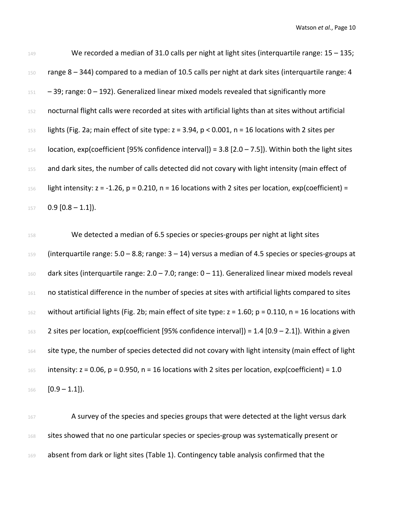| 149 | We recorded a median of 31.0 calls per night at light sites (interquartile range: $15 - 135$ ;                   |
|-----|------------------------------------------------------------------------------------------------------------------|
| 150 | range 8 - 344) compared to a median of 10.5 calls per night at dark sites (interquartile range: 4                |
| 151 | $-$ 39; range: $0 - 192$ ). Generalized linear mixed models revealed that significantly more                     |
| 152 | nocturnal flight calls were recorded at sites with artificial lights than at sites without artificial            |
| 153 | lights (Fig. 2a; main effect of site type: $z = 3.94$ , $p < 0.001$ , $n = 16$ locations with 2 sites per        |
| 154 | location, exp(coefficient [95% confidence interval]) = 3.8 [2.0 - 7.5]). Within both the light sites             |
| 155 | and dark sites, the number of calls detected did not covary with light intensity (main effect of                 |
| 156 | light intensity: $z = -1.26$ , $p = 0.210$ , $n = 16$ locations with 2 sites per location, exp(coefficient) =    |
| 157 | $0.9$ [0.8 - 1.1]).                                                                                              |
| 158 | We detected a median of 6.5 species or species-groups per night at light sites                                   |
| 159 | (interquartile range: $5.0 - 8.8$ ; range: $3 - 14$ ) versus a median of 4.5 species or species-groups at        |
| 160 | dark sites (interquartile range: $2.0 - 7.0$ ; range: $0 - 11$ ). Generalized linear mixed models reveal         |
| 161 | no statistical difference in the number of species at sites with artificial lights compared to sites             |
| 162 | without artificial lights (Fig. 2b; main effect of site type: $z = 1.60$ ; $p = 0.110$ , $n = 16$ locations with |
| 163 | 2 sites per location, exp(coefficient [95% confidence interval]) = $1.4$ [0.9 – $2.1$ ]). Within a given         |
| 164 | site type, the number of species detected did not covary with light intensity (main effect of light              |
| 165 | intensity: $z = 0.06$ , $p = 0.950$ , $n = 16$ locations with 2 sites per location, exp(coefficient) = 1.0       |
| 166 | $[0.9 - 1.1]$ .                                                                                                  |
|     |                                                                                                                  |

167 A survey of the species and species groups that were detected at the light versus dark 168 sites showed that no one particular species or species-group was systematically present or 169 absent from dark or light sites (Table 1). Contingency table analysis confirmed that the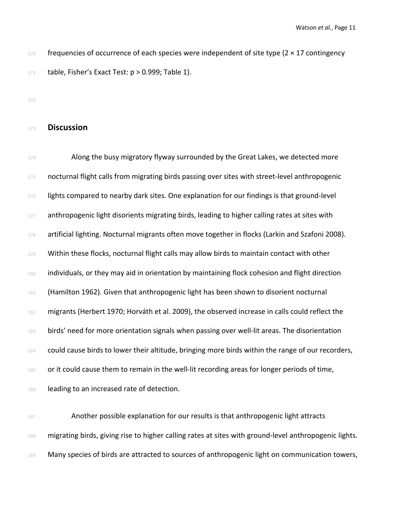$170$  frequencies of occurrence of each species were independent of site type (2  $\times$  17 contingency 171 table, Fisher's Exact Test:  $p > 0.999$ ; Table 1).

172

#### <sup>173</sup> **Discussion**

174 Along the busy migratory flyway surrounded by the Great Lakes, we detected more 175 nocturnal flight calls from migrating birds passing over sites with street-level anthropogenic 176 lights compared to nearby dark sites. One explanation for our findings is that ground-level 177 anthropogenic light disorients migrating birds, leading to higher calling rates at sites with <sup>178</sup> artificial lighting. Nocturnal migrants often move together in flocks (Larkin and Szafoni 2008). 179 Within these flocks, nocturnal flight calls may allow birds to maintain contact with other <sup>180</sup> individuals, or they may aid in orientation by maintaining flock cohesion and flight direction <sup>181</sup> (Hamilton 1962). Given that anthropogenic light has been shown to disorient nocturnal 182 migrants (Herbert 1970; Horváth et al. 2009), the observed increase in calls could reflect the 183 birds' need for more orientation signals when passing over well-lit areas. The disorientation 184 could cause birds to lower their altitude, bringing more birds within the range of our recorders, 185 or it could cause them to remain in the well-lit recording areas for longer periods of time, 186 leading to an increased rate of detection.

<sup>187</sup> Another possible explanation for our results is that anthropogenic light attracts 188 migrating birds, giving rise to higher calling rates at sites with ground-level anthropogenic lights. 189 Many species of birds are attracted to sources of anthropogenic light on communication towers,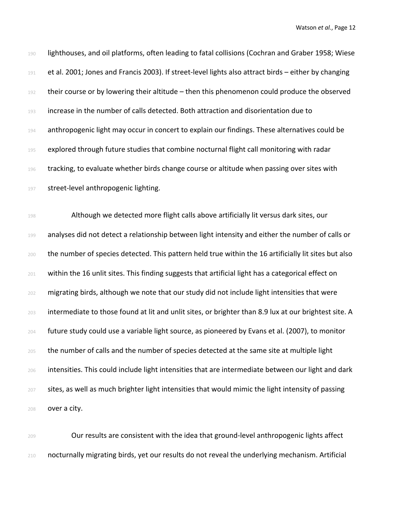| 190 | lighthouses, and oil platforms, often leading to fatal collisions (Cochran and Graber 1958; Wiese     |
|-----|-------------------------------------------------------------------------------------------------------|
| 191 | et al. 2001; Jones and Francis 2003). If street-level lights also attract birds - either by changing  |
| 192 | their course or by lowering their altitude - then this phenomenon could produce the observed          |
| 193 | increase in the number of calls detected. Both attraction and disorientation due to                   |
| 194 | anthropogenic light may occur in concert to explain our findings. These alternatives could be         |
| 195 | explored through future studies that combine nocturnal flight call monitoring with radar              |
| 196 | tracking, to evaluate whether birds change course or altitude when passing over sites with            |
| 197 | street-level anthropogenic lighting.                                                                  |
| 198 | Although we detected more flight calls above artificially lit versus dark sites, our                  |
| 199 | analyses did not detect a relationship between light intensity and either the number of calls or      |
| 200 | the number of species detected. This pattern held true within the 16 artificially lit sites but also  |
| 201 | within the 16 unlit sites. This finding suggests that artificial light has a categorical effect on    |
| 202 | migrating birds, although we note that our study did not include light intensities that were          |
| 203 | intermediate to those found at lit and unlit sites, or brighter than 8.9 lux at our brightest site. A |
| 204 | future study could use a variable light source, as pioneered by Evans et al. (2007), to monitor       |
| 205 | the number of calls and the number of species detected at the same site at multiple light             |
| 206 | intensities. This could include light intensities that are intermediate between our light and dark    |
| 207 | sites, as well as much brighter light intensities that would mimic the light intensity of passing     |
| 208 | over a city.                                                                                          |

<sup>209</sup> Our results are consistent with the idea that ground-level anthropogenic lights affect <sup>210</sup> nocturnally migrating birds, yet our results do not reveal the underlying mechanism. Artificial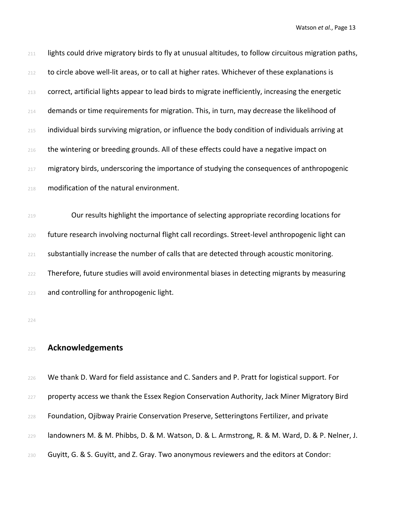| 211 | lights could drive migratory birds to fly at unusual altitudes, to follow circuitous migration paths, |
|-----|-------------------------------------------------------------------------------------------------------|
| 212 | to circle above well-lit areas, or to call at higher rates. Whichever of these explanations is        |
| 213 | correct, artificial lights appear to lead birds to migrate inefficiently, increasing the energetic    |
| 214 | demands or time requirements for migration. This, in turn, may decrease the likelihood of             |
| 215 | individual birds surviving migration, or influence the body condition of individuals arriving at      |
| 216 | the wintering or breeding grounds. All of these effects could have a negative impact on               |
| 217 | migratory birds, underscoring the importance of studying the consequences of anthropogenic            |
| 218 | modification of the natural environment.                                                              |
| 219 | Our results highlight the importance of selecting appropriate recording locations for                 |
|     |                                                                                                       |
| 220 | future research involving nocturnal flight call recordings. Street-level anthropogenic light can      |
| 221 | substantially increase the number of calls that are detected through acoustic monitoring.             |
| 222 | Therefore, future studies will avoid environmental biases in detecting migrants by measuring          |
| 223 | and controlling for anthropogenic light.                                                              |
| 224 |                                                                                                       |
|     |                                                                                                       |
| 225 | <b>Acknowledgements</b>                                                                               |
| 226 | We thank D. Ward for field assistance and C. Sanders and P. Pratt for logistical support. For         |
| 227 | property access we thank the Essex Region Conservation Authority, Jack Miner Migratory Bird           |
| 228 | Foundation, Ojibway Prairie Conservation Preserve, Setteringtons Fertilizer, and private              |

landowners M. & M. Phibbs, D. & M. Watson, D. & L. Armstrong, R. & M. Ward, D. & P. Nelner, J.

230 Guyitt, G. & S. Guyitt, and Z. Gray. Two anonymous reviewers and the editors at Condor: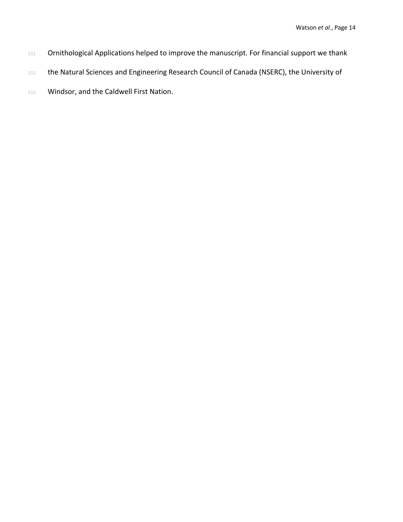- 231 Ornithological Applications helped to improve the manuscript. For financial support we thank
- 232 the Natural Sciences and Engineering Research Council of Canada (NSERC), the University of
- <sup>233</sup> Windsor, and the Caldwell First Nation.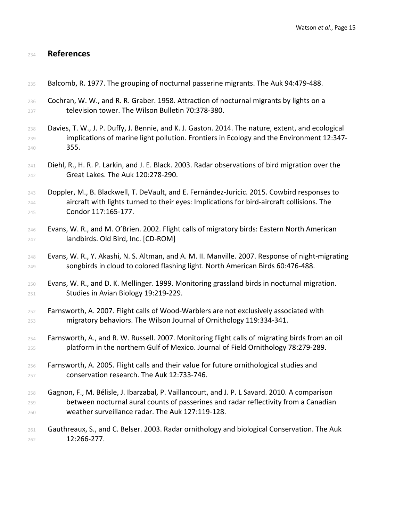## **References**

| 235 | Balcomb, R. 1977. The grouping of nocturnal passerine migrants. The Auk 94:479-488.               |
|-----|---------------------------------------------------------------------------------------------------|
| 236 | Cochran, W. W., and R. R. Graber. 1958. Attraction of nocturnal migrants by lights on a           |
| 237 | television tower. The Wilson Bulletin 70:378-380.                                                 |
| 238 | Davies, T. W., J. P. Duffy, J. Bennie, and K. J. Gaston. 2014. The nature, extent, and ecological |
| 239 | implications of marine light pollution. Frontiers in Ecology and the Environment 12:347-          |
| 240 | 355.                                                                                              |
| 241 | Diehl, R., H. R. P. Larkin, and J. E. Black. 2003. Radar observations of bird migration over the  |
| 242 | Great Lakes. The Auk 120:278-290.                                                                 |
| 243 | Doppler, M., B. Blackwell, T. DeVault, and E. Fernández-Juricic. 2015. Cowbird responses to       |
| 244 | aircraft with lights turned to their eyes: Implications for bird-aircraft collisions. The         |
| 245 | Condor 117:165-177.                                                                               |
| 246 | Evans, W. R., and M. O'Brien. 2002. Flight calls of migratory birds: Eastern North American       |
| 247 | landbirds. Old Bird, Inc. [CD-ROM]                                                                |
| 248 | Evans, W. R., Y. Akashi, N. S. Altman, and A. M. II. Manville. 2007. Response of night-migrating  |
| 249 | songbirds in cloud to colored flashing light. North American Birds 60:476-488.                    |
| 250 | Evans, W. R., and D. K. Mellinger. 1999. Monitoring grassland birds in nocturnal migration.       |
| 251 | Studies in Avian Biology 19:219-229.                                                              |
| 252 | Farnsworth, A. 2007. Flight calls of Wood-Warblers are not exclusively associated with            |
| 253 | migratory behaviors. The Wilson Journal of Ornithology 119:334-341.                               |
| 254 | Farnsworth, A., and R. W. Russell. 2007. Monitoring flight calls of migrating birds from an oil   |
| 255 | platform in the northern Gulf of Mexico. Journal of Field Ornithology 78:279-289.                 |
| 256 | Farnsworth, A. 2005. Flight calls and their value for future ornithological studies and           |
| 257 | conservation research. The Auk 12:733-746.                                                        |
| 258 | Gagnon, F., M. Bélisle, J. Ibarzabal, P. Vaillancourt, and J. P. L Savard. 2010. A comparison     |
| 259 | between nocturnal aural counts of passerines and radar reflectivity from a Canadian               |
| 260 | weather surveillance radar. The Auk 127:119-128.                                                  |
| 261 | Gauthreaux, S., and C. Belser. 2003. Radar ornithology and biological Conservation. The Auk       |
| 262 | 12:266-277.                                                                                       |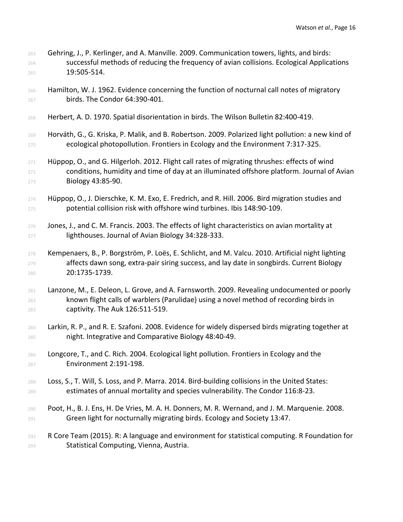- Gehring, J., P. Kerlinger, and A. Manville. 2009. Communication towers, lights, and birds: successful methods of reducing the frequency of avian collisions. Ecological Applications 19:505-514.
- Hamilton, W. J. 1962. Evidence concerning the function of nocturnal call notes of migratory birds. The Condor 64:390-401.
- Herbert, A. D. 1970. Spatial disorientation in birds. The Wilson Bulletin 82:400-419.
- Horváth, G., G. Kriska, P. Malik, and B. Robertson. 2009. Polarized light pollution: a new kind of ecological photopollution. Frontiers in Ecology and the Environment 7:317-325.
- Hüppop, O., and G. Hilgerloh. 2012. Flight call rates of migrating thrushes: effects of wind conditions, humidity and time of day at an illuminated offshore platform. Journal of Avian Biology 43:85-90.
- Hüppop, O., J. Dierschke, K. M. Exo, E. Fredrich, and R. Hill. 2006. Bird migration studies and potential collision risk with offshore wind turbines. Ibis 148:90-109.
- 276 Jones, J., and C. M. Francis. 2003. The effects of light characteristics on avian mortality at lighthouses. Journal of Avian Biology 34:328-333.
- Kempenaers, B., P. Borgström, P. Loës, E. Schlicht, and M. Valcu. 2010. Artificial night lighting **affects dawn song, extra-pair siring success, and lay date in songbirds. Current Biology** 20:1735-1739.
- Lanzone, M., E. Deleon, L. Grove, and A. Farnsworth. 2009. Revealing undocumented or poorly known flight calls of warblers (Parulidae) using a novel method of recording birds in captivity. The Auk 126:511-519.
- Larkin, R. P., and R. E. Szafoni. 2008. Evidence for widely dispersed birds migrating together at night. Integrative and Comparative Biology 48:40-49.
- Longcore, T., and C. Rich. 2004. Ecological light pollution. Frontiers in Ecology and the Environment 2:191-198.
- Loss, S., T. Will, S. Loss, and P. Marra. 2014. Bird-building collisions in the United States: estimates of annual mortality and species vulnerability. The Condor 116:8-23.
- Poot, H., B. J. Ens, H. De Vries, M. A. H. Donners, M. R. Wernand, and J. M. Marquenie. 2008. Green light for nocturnally migrating birds. Ecology and Society 13:47.
- R Core Team (2015). R: A language and environment for statistical computing. R Foundation for Statistical Computing, Vienna, Austria.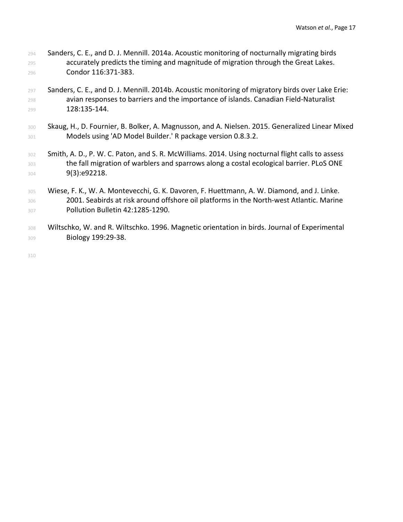- Sanders, C. E., and D. J. Mennill. 2014a. Acoustic monitoring of nocturnally migrating birds accurately predicts the timing and magnitude of migration through the Great Lakes. Condor 116:371-383.
- Sanders, C. E., and D. J. Mennill. 2014b. Acoustic monitoring of migratory birds over Lake Erie: avian responses to barriers and the importance of islands. Canadian Field-Naturalist 128:135-144.
- 300 Skaug, H., D. Fournier, B. Bolker, A. Magnusson, and A. Nielsen. 2015. Generalized Linear Mixed Models using 'AD Model Builder.' R package version 0.8.3.2.
- 302 Smith, A. D., P. W. C. Paton, and S. R. McWilliams. 2014. Using nocturnal flight calls to assess the fall migration of warblers and sparrows along a costal ecological barrier. PLoS ONE **9(3):e92218.**
- Wiese, F. K., W. A. Montevecchi, G. K. Davoren, F. Huettmann, A. W. Diamond, and J. Linke. 2001. Seabirds at risk around offshore oil platforms in the North-west Atlantic. Marine Pollution Bulletin 42:1285-1290.
- 308 Wiltschko, W. and R. Wiltschko. 1996. Magnetic orientation in birds. Journal of Experimental Biology 199:29-38.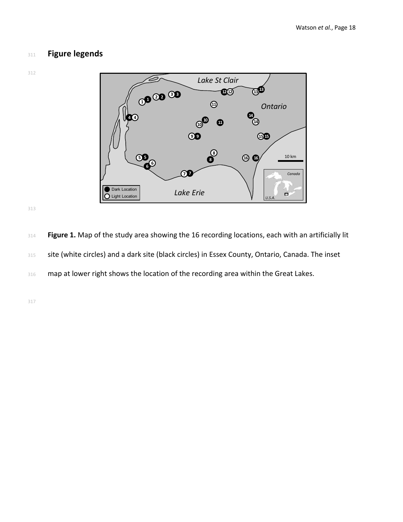## **Figure legends**





 **Figure 1.** Map of the study area showing the 16 recording locations, each with an artificially lit 315 site (white circles) and a dark site (black circles) in Essex County, Ontario, Canada. The inset 316 map at lower right shows the location of the recording area within the Great Lakes.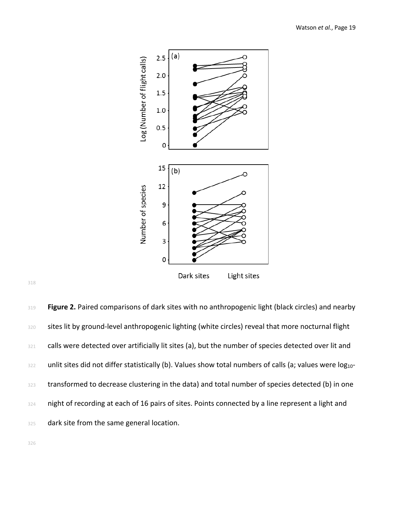

318

319 **Figure 2.** Paired comparisons of dark sites with no anthropogenic light (black circles) and nearby 320 sites lit by ground-level anthropogenic lighting (white circles) reveal that more nocturnal flight 321 calls were detected over artificially lit sites (a), but the number of species detected over lit and 322 unlit sites did not differ statistically (b). Values show total numbers of calls (a; values were log<sub>10</sub>-323 transformed to decrease clustering in the data) and total number of species detected (b) in one 324 night of recording at each of 16 pairs of sites. Points connected by a line represent a light and 325 dark site from the same general location.

326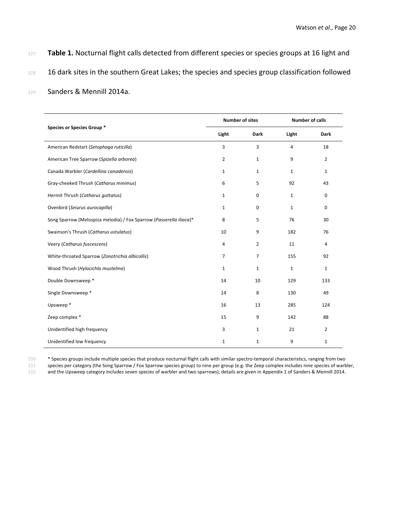- 327 Table 1. Nocturnal flight calls detected from different species or species groups at 16 light and
- 328 16 dark sites in the southern Great Lakes; the species and species group classification followed
- <sup>329</sup> Sanders & Mennill 2014a.

|                                                                     | <b>Number of sites</b> |                | <b>Number of calls</b> |                |
|---------------------------------------------------------------------|------------------------|----------------|------------------------|----------------|
| Species or Species Group *                                          | Light                  | <b>Dark</b>    | Light                  | <b>Dark</b>    |
| American Redstart (Setophaga ruticilla)                             | 3                      | 3              | 4                      | 18             |
| American Tree Sparrow (Spizella arborea)                            | $\overline{2}$         | 1              | 9                      | $\overline{2}$ |
| Canada Warbler (Cardellina canadensis)                              | 1                      | 1              | 1                      | $\mathbf 1$    |
| Gray-cheeked Thrush (Catharus minimus)                              | 6                      | 5              | 92                     | 43             |
| Hermit Thrush (Catharus guttatus)                                   | $\mathbf{1}$           | $\mathbf 0$    | 1                      | 0              |
| Ovenbird (Seiurus aurocapilla)                                      | $\mathbf{1}$           | $\mathbf 0$    | 1                      | 0              |
| Song Sparrow (Melospiza melodia) / Fox Sparrow (Passerella iliaca)* | 8                      | 5              | 76                     | 30             |
| Swainson's Thrush (Catharus ustulatus)                              | 10                     | 9              | 182                    | 76             |
| Veery (Catharus fuscescens)                                         | 4                      | $\overline{2}$ | 11                     | 4              |
| White-throated Sparrow (Zonotrichia albicollis)                     | $\overline{7}$         | 7              | 155                    | 92             |
| Wood Thrush (Hylocichla mustelina)                                  | $\mathbf{1}$           | $\mathbf{1}$   | $\mathbf{1}$           | $\mathbf{1}$   |
| Double Downsweep *                                                  | 14                     | 10             | 129                    | 133            |
| Single Downsweep *                                                  | 14                     | 8              | 130                    | 49             |
| Upsweep*                                                            | 16                     | 13             | 285                    | 124            |
| Zeep complex *                                                      | 15                     | 9              | 142                    | 88             |
| Unidentified high frequency                                         | 3                      | $\mathbf{1}$   | 21                     | $\overline{2}$ |
| Unidentified low frequency                                          | $\mathbf{1}$           | $\mathbf{1}$   | 9                      | $\mathbf 1$    |

330 \* Species groups include multiple species that produce nocturnal flight calls with similar spectro-temporal characteristics, ranging from two

species per category (the Song Sparrow / Fox Sparrow species group) to nine per group (e.g. the Zeep complex includes nine species of warbler,

332 and the Upsweep category includes seven species of warbler and two sparrows); details are given in Appendix 1 of Sanders & Mennill 2014.